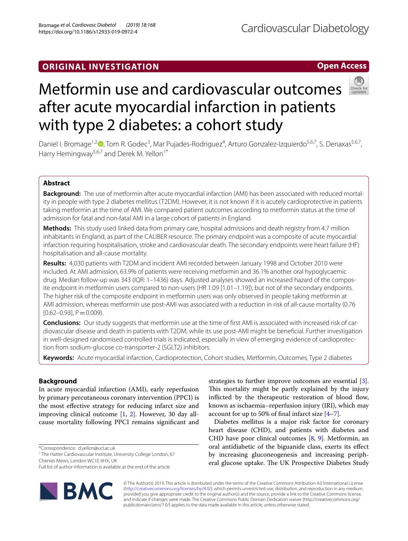# Cardiovascular Diabetology

## **Open Access**



# Metformin use and cardiovascular outcomes after acute myocardial infarction in patients with type 2 diabetes: a cohort study

Daniel I. Bromage<sup>1[,](http://orcid.org/0000-0002-4243-5964)2</sup><sup>®</sup>, Tom R. Godec<sup>3</sup>, Mar Pujades-Rodriguez<sup>4</sup>, Arturo Gonzalez-Izquierdo<sup>5,6,7</sup>, S. Denaxas<sup>5,6,7</sup>, Harry Hemingway<sup>5,6,7</sup> and Derek M. Yellon<sup>1\*</sup>

## **Abstract**

**Background:** The use of metformin after acute myocardial infarction (AMI) has been associated with reduced mortal‑ ity in people with type 2 diabetes mellitus (T2DM). However, it is not known if it is acutely cardioprotective in patients taking metformin at the time of AMI. We compared patient outcomes according to metformin status at the time of admission for fatal and non-fatal AMI in a large cohort of patients in England.

**Methods:** This study used linked data from primary care, hospital admissions and death registry from 4.7 million inhabitants in England, as part of the CALIBER resource. The primary endpoint was a composite of acute myocardial infarction requiring hospitalisation, stroke and cardiovascular death. The secondary endpoints were heart failure (HF) hospitalisation and all-cause mortality.

**Results:** 4,030 patients with T2DM and incident AMI recorded between January 1998 and October 2010 were included. At AMI admission, 63.9% of patients were receiving metformin and 36.1% another oral hypoglycaemic drug. Median follow-up was 343 (IQR: 1–1436) days. Adjusted analyses showed an increased hazard of the composite endpoint in metformin users compared to non-users (HR 1.09 [1.01–1.19]), but not of the secondary endpoints. The higher risk of the composite endpoint in metformin users was only observed in people taking metformin at AMI admission, whereas metformin use post-AMI was associated with a reduction in risk of all-cause mortality (0.76  $[0.62 - 0.93]$ , P = 0.009).

**Conclusions:** Our study suggests that metformin use at the time of first AMI is associated with increased risk of cardiovascular disease and death in patients with T2DM, while its use post-AMI might be benefcial. Further investigation in well-designed randomised controlled trials is indicated, especially in view of emerging evidence of cardioprotection from sodium-glucose co-transporter-2 (SGLT2) inhibitors.

**Keywords:** Acute myocardial infarction, Cardioprotection, Cohort studies, Metformin, Outcomes, Type 2 diabetes

### **Background**

In acute myocardial infarction (AMI), early reperfusion by primary percutaneous coronary intervention (PPCI) is the most efective strategy for reducing infarct size and improving clinical outcome [[1](#page-7-0), [2](#page-7-1)]. However, 30 day allcause mortality following PPCI remains signifcant and

\*Correspondence: d.yellon@ucl.ac.uk

<sup>1</sup> The Hatter Cardiovascular Institute, University College London, 67 Chenies Mews, London WC1E 6HX, UK

Full list of author information is available at the end of the article



strategies to further improve outcomes are essential [\[3](#page-7-2)]. This mortality might be partly explained by the injury inflicted by the therapeutic restoration of blood flow, known as ischaemia–reperfusion injury (IRI), which may account for up to 50% of fnal infarct size [[4](#page-7-3)[–7](#page-7-4)].

Diabetes mellitus is a major risk factor for coronary heart disease (CHD), and patients with diabetes and CHD have poor clinical outcomes [[8,](#page-7-5) [9](#page-7-6)]. Metformin, an oral antidiabetic of the biguanide class, exerts its efect by increasing gluconeogenesis and increasing peripheral glucose uptake. The UK Prospective Diabetes Study

© The Author(s) 2019. This article is distributed under the terms of the Creative Commons Attribution 4.0 International License [\(http://creativecommons.org/licenses/by/4.0/\)](http://creativecommons.org/licenses/by/4.0/), which permits unrestricted use, distribution, and reproduction in any medium, provided you give appropriate credit to the original author(s) and the source, provide a link to the Creative Commons license, and indicate if changes were made. The Creative Commons Public Domain Dedication waiver (http://creativecommons.org/ publicdomain/zero/1.0/) applies to the data made available in this article, unless otherwise stated.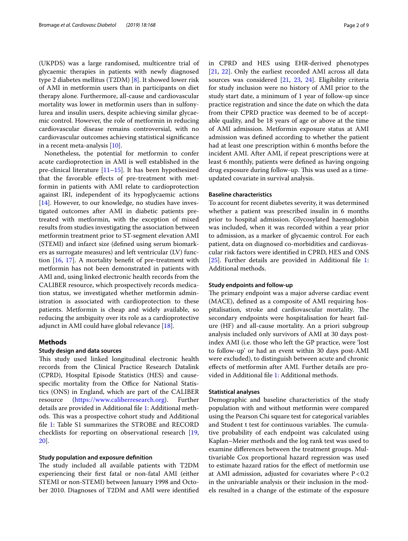(UKPDS) was a large randomised, multicentre trial of glycaemic therapies in patients with newly diagnosed type 2 diabetes mellitus (T2DM) [\[8](#page-7-5)]. It showed lower risk of AMI in metformin users than in participants on diet therapy alone. Furthermore, all-cause and cardiovascular mortality was lower in metformin users than in sulfonylurea and insulin users, despite achieving similar glycaemic control. However, the role of metformin in reducing cardiovascular disease remains controversial, with no cardiovascular outcomes achieving statistical signifcance in a recent meta-analysis [\[10](#page-7-7)].

Nonetheless, the potential for metformin to confer acute cardioprotection in AMI is well established in the pre-clinical literature [[11–](#page-7-8)[15](#page-7-9)]. It has been hypothesized that the favorable efects of pre-treatment with metformin in patients with AMI relate to cardioprotection against IRI, independent of its hypoglycaemic actions [[14\]](#page-7-10). However, to our knowledge, no studies have investigated outcomes after AMI in diabetic patients pretreated with metformin, with the exception of mixed results from studies investigating the association between metformin treatment prior to ST-segment elevation AMI (STEMI) and infarct size (defned using serum biomarkers as surrogate measures) and left ventricular (LV) function [\[16,](#page-7-11) [17\]](#page-7-12). A mortality beneft of pre-treatment with metformin has not been demonstrated in patients with AMI and, using linked electronic health records from the CALIBER resource, which prospectively records medication status, we investigated whether metformin administration is associated with cardioprotection to these patients. Metformin is cheap and widely available, so reducing the ambiguity over its role as a cardioprotective adjunct in AMI could have global relevance [\[18](#page-7-13)].

#### **Methods**

#### **Study design and data sources**

This study used linked longitudinal electronic health records from the Clinical Practice Research Datalink (CPRD), Hospital Episode Statistics (HES) and causespecific mortality from the Office for National Statistics (ONS) in England, which are part of the CALIBER resource (<https://www.caliberresearch.org>). Further details are provided in Additional fle [1](#page-6-0): Additional methods. This was a prospective cohort study and Additional fle [1:](#page-6-0) Table S1 summarizes the STROBE and RECORD checklists for reporting on observational research [\[19](#page-8-0), [20\]](#page-8-1).

#### **Study population and exposure defnition**

The study included all available patients with T2DM experiencing their frst fatal or non-fatal AMI (either STEMI or non-STEMI) between January 1998 and October 2010. Diagnoses of T2DM and AMI were identifed in CPRD and HES using EHR-derived phenotypes [[21,](#page-8-2) [22](#page-8-3)]. Only the earliest recorded AMI across all data sources was considered [\[21](#page-8-2), [23,](#page-8-4) [24\]](#page-8-5). Eligibility criteria for study inclusion were no history of AMI prior to the study start date, a minimum of 1 year of follow-up since practice registration and since the date on which the data from their CPRD practice was deemed to be of acceptable quality, and be 18 years of age or above at the time of AMI admission. Metformin exposure status at AMI admission was defned according to whether the patient had at least one prescription within 6 months before the incident AMI. After AMI, if repeat prescriptions were at least 6 monthly, patients were defned as having ongoing drug exposure during follow-up. This was used as a timeupdated covariate in survival analysis.

#### **Baseline characteristics**

To account for recent diabetes severity, it was determined whether a patient was prescribed insulin in 6 months prior to hospital admission. Glycosylated haemoglobin was included, when it was recorded within a year prior to admission, as a marker of glycaemic control. For each patient, data on diagnosed co-morbidities and cardiovascular risk factors were identifed in CPRD, HES and ONS [[25\]](#page-8-6). Further details are provided in Additional file [1](#page-6-0): Additional methods.

#### **Study endpoints and follow‑up**

The primary endpoint was a major adverse cardiac event (MACE), defned as a composite of AMI requiring hospitalisation, stroke and cardiovascular mortality. The secondary endpoints were hospitalisation for heart failure (HF) and all-cause mortality. An a priori subgroup analysis included only survivors of AMI at 30 days postindex AMI (i.e. those who left the GP practice, were 'lost to follow-up' or had an event within 30 days post-AMI were excluded), to distinguish between acute and chronic efects of metformin after AMI. Further details are provided in Additional fle [1](#page-6-0): Additional methods.

#### **Statistical analyses**

Demographic and baseline characteristics of the study population with and without metformin were compared using the Pearson Chi square test for categorical variables and Student t test for continuous variables. The cumulative probability of each endpoint was calculated using Kaplan–Meier methods and the log rank test was used to examine diferences between the treatment groups. Multivariable Cox proportional hazard regression was used to estimate hazard ratios for the efect of metformin use at AMI admission, adjusted for covariates where  $P < 0.2$ in the univariable analysis or their inclusion in the models resulted in a change of the estimate of the exposure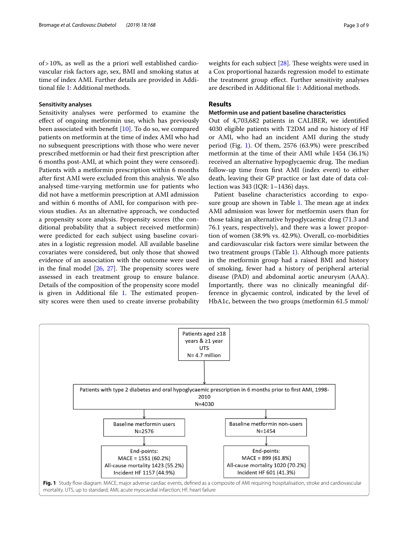of>10%, as well as the a priori well established cardiovascular risk factors age, sex, BMI and smoking status at time of index AMI. Further details are provided in Additional fle [1](#page-6-0): Additional methods.

#### **Sensitivity analyses**

Sensitivity analyses were performed to examine the efect of ongoing metformin use, which has previously been associated with beneft [\[10](#page-7-7)]. To do so, we compared patients on metformin at the time of index AMI who had no subsequent prescriptions with those who were never prescribed metformin or had their frst prescription after 6 months post-AMI, at which point they were censored). Patients with a metformin prescription within 6 months after frst AMI were excluded from this analysis. We also analysed time-varying metformin use for patients who did not have a metformin prescription at AMI admission and within 6 months of AMI, for comparison with previous studies. As an alternative approach, we conducted a propensity score analysis. Propensity scores (the conditional probability that a subject received metformin) were predicted for each subject using baseline covariates in a logistic regression model. All available baseline covariates were considered, but only those that showed evidence of an association with the outcome were used in the final model  $[26, 27]$  $[26, 27]$  $[26, 27]$ . The propensity scores were assessed in each treatment group to ensure balance. Details of the composition of the propensity score model is given in Additional file  $1$ . The estimated propensity scores were then used to create inverse probability weights for each subject  $[28]$  $[28]$ . These weights were used in a Cox proportional hazards regression model to estimate the treatment group effect. Further sensitivity analyses are described in Additional fle [1:](#page-6-0) Additional methods.

#### **Results**

#### **Metformin use and patient baseline characteristics**

Out of 4,703,682 patients in CALIBER, we identifed 4030 eligible patients with T2DM and no history of HF or AMI, who had an incident AMI during the study period (Fig. [1](#page-2-0)). Of them, 2576 (63.9%) were prescribed metformin at the time of their AMI while 1454 (36.1%) received an alternative hypoglycaemic drug. The median follow-up time from frst AMI (index event) to either death, leaving their GP practice or last date of data collection was 343 (IQR: 1–1436) days.

Patient baseline characteristics according to exposure group are shown in Table  $1$ . The mean age at index AMI admission was lower for metformin users than for those taking an alternative hypoglycaemic drug (71.3 and 76.1 years, respectively), and there was a lower proportion of women (38.9% vs. 42.9%). Overall, co-morbidities and cardiovascular risk factors were similar between the two treatment groups (Table [1](#page-3-0)). Although more patients in the metformin group had a raised BMI and history of smoking, fewer had a history of peripheral arterial disease (PAD) and abdominal aortic aneurysm (AAA). Importantly, there was no clinically meaningful difference in glycaemic control, indicated by the level of HbA1c, between the two groups (metformin 61.5 mmol/

<span id="page-2-0"></span>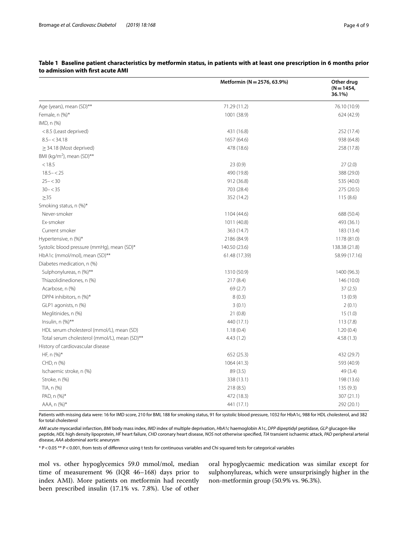|                                               | Metformin (N = 2576, 63.9%) | Other drug<br>$(N = 1454,$<br>36.1%)<br>76.10 (10.9) |  |
|-----------------------------------------------|-----------------------------|------------------------------------------------------|--|
| Age (years), mean (SD)**                      | 71.29 (11.2)                |                                                      |  |
| Female, n (%)*                                | 1001 (38.9)                 | 624 (42.9)                                           |  |
| IMD, n (%)                                    |                             |                                                      |  |
| <8.5 (Least deprived)                         | 431 (16.8)                  | 252 (17.4)                                           |  |
| $8.5 - < 34.18$                               | 1657 (64.6)                 | 938 (64.8)                                           |  |
| $\geq$ 34.18 (Most deprived)                  | 478 (18.6)                  | 258 (17.8)                                           |  |
| BMI (kg/m <sup>2</sup> ), mean (SD)**         |                             |                                                      |  |
| < 18.5                                        | 23(0.9)                     | 27(2.0)                                              |  |
| $18.5 - < 25$                                 | 490 (19.8)                  | 388 (29.0)                                           |  |
| $25 - < 30$                                   | 912 (36.8)                  | 535 (40.0)                                           |  |
| $30 - 35$                                     | 703 (28.4)                  | 275 (20.5)                                           |  |
| $\geq$ 35                                     | 352 (14.2)                  | 115 (8.6)                                            |  |
| Smoking status, n (%)*                        |                             |                                                      |  |
| Never-smoker                                  | 1104 (44.6)                 | 688 (50.4)                                           |  |
| Ex-smoker                                     | 1011 (40.8)                 | 493 (36.1)                                           |  |
| Current smoker                                | 363 (14.7)                  | 183 (13.4)                                           |  |
| Hypertensive, n (%)*                          | 2186 (84.9)                 | 1178 (81.0)                                          |  |
| Systolic blood pressure (mmHg), mean (SD)*    | 140.50 (23.6)               | 138.38 (21.8)                                        |  |
| HbA1c (mmol/mol), mean (SD)**                 | 61.48 (17.39)               | 58.99 (17.16)                                        |  |
| Diabetes medication, n (%)                    |                             |                                                      |  |
| Sulphonylureas, n (%)**                       | 1310 (50.9)                 | 1400 (96.3)                                          |  |
| Thiazolidinediones, n (%)                     | 217 (8.4)                   | 146 (10.0)                                           |  |
| Acarbose, n (%)                               | 69(2.7)                     | 37(2.5)                                              |  |
| DPP4 inhibitors, n (%)*                       | 8(0.3)                      | 13(0.9)                                              |  |
| GLP1 agonists, n (%)                          | 3(0.1)                      | 2(0.1)                                               |  |
| Meglitinides, n (%)                           | 21(0.8)                     | 15(1.0)                                              |  |
| Insulin, $n$ $(\%)**$                         | 440 (17.1)                  | 113(7.8)                                             |  |
| HDL serum cholesterol (mmol/L), mean (SD)     | 1.18(0.4)                   | 1.20(0.4)                                            |  |
| Total serum cholesterol (mmol/L), mean (SD)** | 4.43(1.2)                   | 4.58(1.3)                                            |  |
| History of cardiovascular disease             |                             |                                                      |  |
| HF, n (%)*                                    | 652(25.3)                   | 432 (29.7)                                           |  |
| CHD, n (%)                                    | 1064 (41.3)                 | 593 (40.9)                                           |  |
| Ischaemic stroke, n (%)                       | 89 (3.5)                    | 49 (3.4)                                             |  |
| Stroke, n (%)                                 | 338 (13.1)                  | 198 (13.6)                                           |  |
| TIA, n (%)                                    | 218 (8.5)                   | 135(9.3)                                             |  |
| PAD, n (%)*                                   | 472 (18.3)                  | 307 (21.1)                                           |  |
| AAA, n (%)*                                   | 441 (17.1)                  | 292 (20.1)                                           |  |

#### <span id="page-3-0"></span>**Table 1 Baseline patient characteristics by metformin status, in patients with at least one prescription in 6 months prior to admission with frst acute AMI**

Patients with missing data were: 16 for IMD score, 210 for BMI, 188 for smoking status, 91 for systolic blood pressure, 1032 for HbA1c, 988 for HDL cholesterol, and 382 for total cholesterol

*AMI* acute myocardial infarction, *BMI* body mass index, *IMD* index of multiple deprivation, *HbA1c* haemoglobin A1c, *DPP* dipeptidyl peptidase, *GLP* glucagon-like peptide, *HDL* high density lipoprotein, *HF* heart failure, *CHD* coronary heart disease, *NOS* not otherwise specifed, *TIA* transient ischaemic attack, *PAD* peripheral arterial disease, *AAA* abdominal aortic aneurysm

\* P<0.05 \*\* P<0.001, from tests of diference using t tests for continuous variables and Chi squared tests for categorical variables

mol vs. other hypoglycemics 59.0 mmol/mol, median time of measurement 96 (IQR 46–168) days prior to index AMI). More patients on metformin had recently been prescribed insulin (17.1% vs. 7.8%). Use of other

oral hypoglycaemic medication was similar except for sulphonylureas, which were unsurprisingly higher in the non-metformin group (50.9% vs. 96.3%).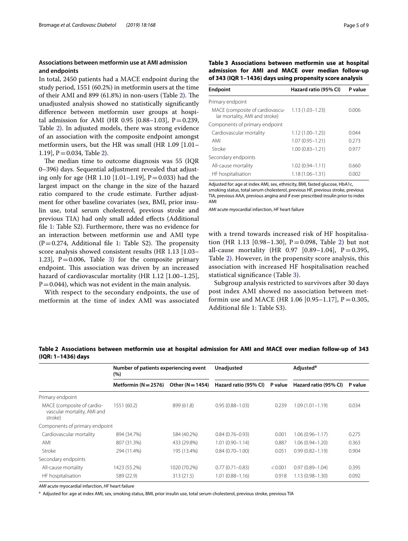#### **Associations between metformin use at AMI admission and endpoints**

In total, 2450 patients had a MACE endpoint during the study period, 1551 (60.2%) in metformin users at the time of their AMI and  $899(61.8%)$  in non-users (Table [2](#page-4-0)). The unadjusted analysis showed no statistically signifcantly diference between metformin user groups at hospital admission for AMI (HR 0.95 [0.88-1.03],  $P = 0.239$ , Table [2](#page-4-0)). In adjusted models, there was strong evidence of an association with the composite endpoint amongst metformin users, but the HR was small (HR 1.09 [1.01– 1.19],  $P = 0.034$ , Table [2\)](#page-4-0).

The median time to outcome diagnosis was 55 (IQR) 0–396) days. Sequential adjustment revealed that adjusting only for age (HR 1.10 [1.01–1.19],  $P = 0.033$ ) had the largest impact on the change in the size of the hazard ratio compared to the crude estimate. Further adjustment for other baseline covariates (sex, BMI, prior insulin use, total serum cholesterol, previous stroke and previous TIA) had only small added efects (Additional fle [1](#page-6-0): Table S2). Furthermore, there was no evidence for an interaction between metformin use and AMI type  $(P=0.274,$  Additional file [1:](#page-6-0) Table S2). The propensity score analysis showed consistent results (HR 1.13 [1.03– 1.23],  $P = 0.006$ , Table [3\)](#page-4-1) for the composite primary endpoint. This association was driven by an increased hazard of cardiovascular mortality (HR 1.12 [1.00–1.25],  $P=0.044$ ), which was not evident in the main analysis.

With respect to the secondary endpoints, the use of metformin at the time of index AMI was associated <span id="page-4-1"></span>**Table 3 Associations between metformin use at hospital admission for AMI and MACE over median follow-up of 343 (IQR 1–1436) days using propensity score analysis**

| <b>Endpoint</b>                                                   | Hazard ratio (95% CI) | P value |
|-------------------------------------------------------------------|-----------------------|---------|
| Primary endpoint                                                  |                       |         |
| MACE (composite of cardiovascu-<br>lar mortality, AMI and stroke) | $1.13(1.03 - 1.23)$   | 0.006   |
| Components of primary endpoint                                    |                       |         |
| Cardiovascular mortality                                          | $1.12(1.00 - 1.25)$   | 0.044   |
| AMI                                                               | $1.07(0.95 - 1.21)$   | 0.273   |
| Stroke                                                            | $1.00(0.83 - 1.21)$   | 0.977   |
| Secondary endpoints                                               |                       |         |
| All-cause mortality                                               | $1.02(0.94 - 1.11)$   | 0.660   |
| HF hospitalisation                                                | 1.18 (1.06–1.31)      | 0.002   |

Adjusted for: age at index AMI, sex, ethnicity, BMI, fasted glucose, HbA1c, smoking status, total serum cholesterol, previous HF, previous stroke, previous TIA, previous AAA, previous angina and if ever prescribed insulin prior to index AMI

*AMI* acute myocardial infarction, *HF* heart failure

with a trend towards increased risk of HF hospitalisation (HR 1.13 [0.98-1.30],  $P = 0.098$ , Table [2](#page-4-0)) but not all-cause mortality (HR 0.97 [0.89-1.04],  $P = 0.395$ , Table [2](#page-4-0)). However, in the propensity score analysis, this association with increased HF hospitalisation reached statistical signifcance (Table [3](#page-4-1)).

Subgroup analysis restricted to survivors after 30 days post index AMI showed no association between metformin use and MACE (HR 1.06 [0.95–1.17],  $P = 0.305$ , Additional fle 1: Table S3).

|                                                                      | Number of patients experiencing event<br>$(\% )$ |                    | Unadjusted            |         | Adjusted <sup>a</sup> |         |
|----------------------------------------------------------------------|--------------------------------------------------|--------------------|-----------------------|---------|-----------------------|---------|
|                                                                      | Metformin $(N = 2576)$                           | Other $(N = 1454)$ | Hazard ratio (95% CI) | P value | Hazard ratio (95% CI) | P value |
| Primary endpoint                                                     |                                                  |                    |                       |         |                       |         |
| MACE (composite of cardio-<br>vascular mortality, AMI and<br>stroke) | 1551 (60.2)                                      | 899 (61.8)         | $0.95(0.88 - 1.03)$   | 0.239   | $1.09(1.01 - 1.19)$   | 0.034   |
| Components of primary endpoint                                       |                                                  |                    |                       |         |                       |         |
| Cardiovascular mortality                                             | 894 (34.7%)                                      | 584 (40.2%)        | $0.84(0.76 - 0.93)$   | 0.001   | $1.06(0.96 - 1.17)$   | 0.275   |
| AMI                                                                  | 807 (31.3%)                                      | 433 (29.8%)        | $1.01(0.90 - 1.14)$   | 0.887   | $1.06(0.94 - 1.20)$   | 0.363   |
| Stroke                                                               | 294 (11.4%)                                      | 195 (13.4%)        | $0.84(0.70 - 1.00)$   | 0.051   | $0.99(0.82 - 1.19)$   | 0.904   |
| Secondary endpoints                                                  |                                                  |                    |                       |         |                       |         |
| All-cause mortality                                                  | 1423 (55.2%)                                     | 1020 (70.2%)       | $0.77(0.71 - 0.83)$   | < 0.001 | $0.97(0.89 - 1.04)$   | 0.395   |
| HF hospitalisation                                                   | 589 (22.9)                                       | 313 (21.5)         | $1.01(0.88 - 1.16)$   | 0.918   | $1.13(0.98 - 1.30)$   | 0.092   |

<span id="page-4-0"></span>**Table 2 Associations between metformin use at hospital admission for AMI and MACE over median follow-up of 343 (IQR: 1–1436) days**

*AMI* acute myocardial infarction, *HF* heart failure

<sup>a</sup> Adjusted for: age at index AMI, sex, smoking status, BMI, prior insulin use, total serum cholesterol, previous stroke, previous TIA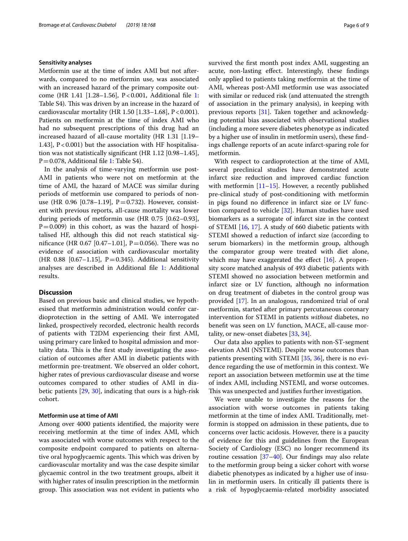#### **Sensitivity analyses**

Metformin use at the time of index AMI but not afterwards, compared to no metformin use, was associated with an increased hazard of the primary composite outcome (HR 1.41 [1.28–1.56], P<0.001, Additional fle [1](#page-6-0): Table S4). This was driven by an increase in the hazard of cardiovascular mortality (HR 1.50  $[1.33-1.68]$ , P<0.001). Patients on metformin at the time of index AMI who had no subsequent prescriptions of this drug had an increased hazard of all-cause mortality (HR 1.31 [1.19– 1.43], P<0.001) but the association with HF hospitalisation was not statistically signifcant (HR 1.12 [0.98–1.45],  $P = 0.078$ , Additional file [1](#page-6-0): Table S4).

In the analysis of time-varying metformin use post-AMI in patients who were not on metformin at the time of AMI, the hazard of MACE was similar during periods of metformin use compared to periods of nonuse (HR 0.96 [0.78–1.19],  $P = 0.732$ ). However, consistent with previous reports, all-cause mortality was lower during periods of metformin use (HR 0.75 [0.62–0.93],  $P=0.009$ ) in this cohort, as was the hazard of hospitalised HF, although this did not reach statistical significance (HR 0.67 [0.47–1.01], P = 0.056). There was no evidence of association with cardiovascular mortality (HR 0.88 [0.67-1.15],  $P = 0.345$ ). Additional sensitivity analyses are described in Additional fle [1](#page-6-0): Additional results.

#### **Discussion**

Based on previous basic and clinical studies, we hypothesised that metformin administration would confer cardioprotection in the setting of AMI. We interrogated linked, prospectively recorded, electronic health records of patients with T2DM experiencing their frst AMI, using primary care linked to hospital admission and mortality data. This is the first study investigating the association of outcomes after AMI in diabetic patients with metformin pre-treatment. We observed an older cohort, higher rates of previous cardiovascular disease and worse outcomes compared to other studies of AMI in diabetic patients [[29,](#page-8-10) [30\]](#page-8-11), indicating that ours is a high-risk cohort.

#### **Metformin use at time of AMI**

Among over 4000 patients identifed, the majority were receiving metformin at the time of index AMI, which was associated with worse outcomes with respect to the composite endpoint compared to patients on alternative oral hypoglycaemic agents. This which was driven by cardiovascular mortality and was the case despite similar glycaemic control in the two treatment groups, albeit it with higher rates of insulin prescription in the metformin group. This association was not evident in patients who survived the frst month post index AMI, suggesting an acute, non-lasting effect. Interestingly, these findings only applied to patients taking metformin at the time of AMI, whereas post-AMI metformin use was associated with similar or reduced risk (and attenuated the strength of association in the primary analysis), in keeping with previous reports [[31\]](#page-8-12). Taken together and acknowledging potential bias associated with observational studies (including a more severe diabetes phenotype as indicated by a higher use of insulin in metformin users), these fndings challenge reports of an acute infarct-sparing role for metformin.

With respect to cardioprotection at the time of AMI, several preclinical studies have demonstrated acute infarct size reduction and improved cardiac function with metformin [[11](#page-7-8)[–15](#page-7-9)]. However, a recently published pre-clinical study of post-conditioning with metformin in pigs found no diference in infarct size or LV function compared to vehicle [\[32\]](#page-8-13). Human studies have used biomarkers as a surrogate of infarct size in the context of STEMI [[16,](#page-7-11) [17\]](#page-7-12). A study of 660 diabetic patients with STEMI showed a reduction of infarct size (according to serum biomarkers) in the metformin group, although the comparator group were treated with diet alone, which may have exaggerated the effect  $[16]$  $[16]$ . A propensity score matched analysis of 493 diabetic patients with STEMI showed no association between metformin and infarct size or LV function, although no information on drug treatment of diabetes in the control group was provided [[17\]](#page-7-12). In an analogous, randomized trial of oral metformin, started after primary percutaneous coronary intervention for STEMI in patients *without* diabetes, no beneft was seen on LV function, MACE, all-cause mortality, or new-onset diabetes [\[33,](#page-8-14) [34](#page-8-15)].

Our data also applies to patients with non-ST-segment elevation AMI (NSTEMI). Despite worse outcomes than patients presenting with STEMI [\[35,](#page-8-16) [36\]](#page-8-17), there is no evidence regarding the use of metformin in this context. We report an association between metformin use at the time of index AMI, including NSTEMI, and worse outcomes. This was unexpected and justifies further investigation.

We were unable to investigate the reasons for the association with worse outcomes in patients taking metformin at the time of index AMI. Traditionally, metformin is stopped on admission in these patients, due to concerns over lactic acidosis. However, there is a paucity of evidence for this and guidelines from the European Society of Cardiology (ESC) no longer recommend its routine cessation [[37–](#page-8-18)[40](#page-8-19)]. Our fndings may also relate to the metformin group being a sicker cohort with worse diabetic phenotypes as indicated by a higher use of insulin in metformin users. In critically ill patients there is a risk of hypoglycaemia-related morbidity associated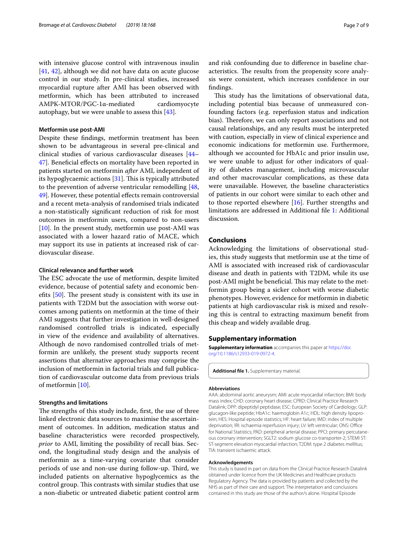with intensive glucose control with intravenous insulin [[41,](#page-8-20) [42\]](#page-8-21), although we did not have data on acute glucose control in our study. In pre-clinical studies, increased myocardial rupture after AMI has been observed with metformin, which has been attributed to increased AMPK-MTOR/PGC-1α-mediated cardiomyocyte autophagy, but we were unable to assess this [\[43](#page-8-22)].

#### **Metformin use post‑AMI**

Despite these fndings, metformin treatment has been shown to be advantageous in several pre-clinical and clinical studies of various cardiovascular diseases [[44–](#page-8-23) [47\]](#page-8-24). Benefcial efects on mortality have been reported in patients started on metformin *after* AMI, independent of its hypoglycaemic actions  $[31]$  $[31]$ . This is typically attributed to the prevention of adverse ventricular remodelling [\[48](#page-8-25), [49\]](#page-8-26). However, these potential efects remain controversial and a recent meta-analysis of randomised trials indicated a non-statistically signifcant reduction of risk for most outcomes in metformin users, compared to non-users [[10\]](#page-7-7). In the present study, metformin use post-AMI was associated with a lower hazard ratio of MACE, which may support its use in patients at increased risk of cardiovascular disease.

#### **Clinical relevance and further work**

The ESC advocate the use of metformin, despite limited evidence, because of potential safety and economic benefits  $[50]$  $[50]$ . The present study is consistent with its use in patients with T2DM but the association with worse outcomes among patients on metformin at the time of their AMI suggests that further investigation in well-designed randomised controlled trials is indicated, especially in view of the evidence and availability of alternatives. Although de novo randomised controlled trials of metformin are unlikely, the present study supports recent assertions that alternative approaches may comprise the inclusion of metformin in factorial trials and full publication of cardiovascular outcome data from previous trials of metformin [[10\]](#page-7-7).

#### **Strengths and limitations**

The strengths of this study include, first, the use of three linked electronic data sources to maximise the ascertainment of outcomes. In addition, medication status and baseline characteristics were recorded prospectively, *prior* to AMI, limiting the possibility of recall bias. Second, the longitudinal study design and the analysis of metformin as a time-varying covariate that consider periods of use and non-use during follow-up. Third, we included patients on alternative hypoglycemics as the control group. This contrasts with similar studies that use a non-diabetic or untreated diabetic patient control arm

and risk confounding due to diference in baseline characteristics. The results from the propensity score analysis were consistent, which increases confdence in our fndings.

This study has the limitations of observational data, including potential bias because of unmeasured confounding factors (e.g. reperfusion status and indication bias). Therefore, we can only report associations and not causal relationships, and any results must be interpreted with caution, especially in view of clinical experience and economic indications for metformin use. Furthermore, although we accounted for HbA1c and prior insulin use, we were unable to adjust for other indicators of quality of diabetes management, including microvascular and other macrovascular complications, as these data were unavailable. However, the baseline characteristics of patients in our cohort were similar to each other and to those reported elsewhere [[16\]](#page-7-11). Further strengths and limitations are addressed in Additional fle [1:](#page-6-0) Additional discussion.

#### **Conclusions**

Acknowledging the limitations of observational studies, this study suggests that metformin use at the time of AMI is associated with increased risk of cardiovascular disease and death in patients with T2DM, while its use post-AMI might be beneficial. This may relate to the metformin group being a sicker cohort with worse diabetic phenotypes. However, evidence for metformin in diabetic patients at high cardiovascular risk is mixed and resolving this is central to extracting maximum beneft from this cheap and widely available drug.

#### **Supplementary information**

**Supplementary information** accompanies this paper at [https://doi.](https://doi.org/10.1186/s12933-019-0972-4) [org/10.1186/s12933-019-0972-4.](https://doi.org/10.1186/s12933-019-0972-4)

<span id="page-6-0"></span>**Additional fle 1.** Supplementary material.

#### **Abbreviations**

AAA: abdominal aortic aneurysm; AMI: acute myocardial infarction; BMI: body mass index; CHD: coronary heart disease; CPRD: Clinical Practice Research Datalink; DPP: dipeptidyl peptidase; ESC: European Society of Cardiology; GLP: glucagon-like peptide; HbA1c: haemoglobin A1c; HDL: high density lipoprotein; HES: Hospital episode statistics; HF: heart failure; IMD: index of multiple deprivation; IRI: ischaemia reperfusion injury; LV: left ventricular; ONS: Office for National Statistics; PAD: peripheral arterial disease; PPCI: primary percutaneous coronary intervention; SGLT2: sodium glucose co-transporter-2; STEMI ST: ST-segment elevation myocardial infarction; T2DM: type 2 diabetes mellitus; TIA: transient ischaemic attack.

#### **Acknowledgements**

This study is based in part on data from the Clinical Practice Research Datalink obtained under licence from the UK Medicines and Healthcare products Regulatory Agency. The data is provided by patients and collected by the NHS as part of their care and support. The interpretation and conclusions contained in this study are those of the author/s alone. Hospital Episode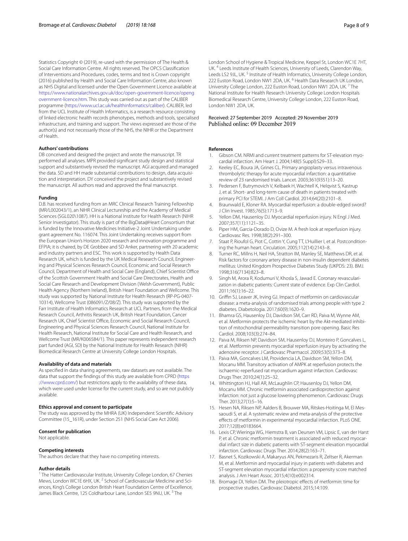Statistics Copyright © (2019), re-used with the permission of The Health & Social Care Information Centre. All rights reserved. The OPCS Classifcation of Interventions and Procedures, codes, terms and text is Crown copyright (2016) published by Health and Social Care Information Centre, also known as NHS Digital and licensed under the Open Government Licence available at [https://www.nationalarchives.gov.uk/doc/open-government-licence/openg](https://www.nationalarchives.gov.uk/doc/open-government-licence/opengovernment-licence.htm) [overnment-licence.htm](https://www.nationalarchives.gov.uk/doc/open-government-licence/opengovernment-licence.htm). This study was carried out as part of the CALIBER programme [\(https://www.ucl.ac.uk/healthinformatics/caliber](https://www.ucl.ac.uk/healthinformatics/caliber)). CALIBER, led from the UCL Institute of Health Informatics, is a research resource consisting of linked electronic health records phenotypes, methods and tools, specialised infrastructure, and training and support. The views expressed are those of the author(s) and not necessarily those of the NHS, the NIHR or the Department of Health.

#### **Authors' contributions**

DB conceived and designed the project and wrote the manuscript. TR performed all analyses. MPR provided signifcant study design and statistical support and substantively revised the manuscript. AGI acquired and managed the data. SD and HH made substantial contributions to design, data acquisition and interpretation. DY conceived the project and substantively revised the manuscript. All authors read and approved the fnal manuscript.

#### **Funding**

D.B. has received funding from an MRC Clinical Research Training Fellowship (MR/L002043/1), an NIHR Clinical Lectureship and the Academy of Medical Sciences (SGL020\1087). HH is a National Institute for Health Research (NIHR Senior Investigator). This study is part of the BigData@Heart Consortium that is funded by the Innovative Medicines Initiative-2 Joint Undertaking under grant agreement No. 116074. This Joint Undertaking receives support from the European Union's Horizon 2020 research and innovation programme and EFPIA; it is chaired, by DE Grobbee and SD Anker, partnering with 20 academic and industry partners and ESC. This work is supported by Health Data Research UK, which is funded by the UK Medical Research Council, Engineering and Physical Sciences Research Council, Economic and Social Research Council, Department of Health and Social Care (England), Chief Scientist Office of the Scottish Government Health and Social Care Directorates, Health and Social Care Research and Development Division (Welsh Government), Public Health Agency (Northern Ireland), British Heart Foundation and Wellcome. This study was supported by National Institute for Health Research (RP-PG-0407-10314), Wellcome Trust (086091/Z/08/Z). This study was supported by the Farr Institute of Health Informatics Research at UCL Partners, from the Medical Research Council, Arthritis Research UK, British Heart Foundation, Cancer Research UK, Chief Scientist Office, Economic and Social Research Council, Engineering and Physical Sciences Research Council, National Institute for Health Research, National Institute for Social Care and Health Research, and Wellcome Trust (MR/K006584/1). This paper represents independent research part funded (AGI, SD) by the National Institute for Health Research (NIHR) Biomedical Research Centre at University College London Hospitals.

#### **Availability of data and materials**

As specifed in data sharing agreements, raw datasets are not available. The data that support the fndings of this study are available from CPRD ([https](https://www.cprd.com/) [://www.cprd.com/\)](https://www.cprd.com/) but restrictions apply to the availability of these data, which were used under license for the current study, and so are not publicly available.

#### **Ethics approval and consent to participate**

The study was approved by the MHRA (UK) Independent Scientifc Advisory Committee (15\_161R), under Section 251 (NHS Social Care Act 2006).

#### **Consent for publication**

Not applicable.

#### **Competing interests**

The authors declare that they have no competing interests.

#### **Author details**

<sup>1</sup> The Hatter Cardiovascular Institute, University College London, 67 Chenies Mews, London WC1E 6HX, UK.<sup>2</sup> School of Cardiovascular Medicine and Sciences, King's College London British Heart Foundation Centre of Excellence, James Black Centre, 125 Coldharbour Lane, London SE5 9NU, UK.<sup>3</sup> The

London School of Hygiene & Tropical Medicine, Keppel St, London WC1E 7HT, UK. 4 Leeds Institute of Health Sciences, University of Leeds, Clarendon Way, Leeds LS2 9JL, UK.<sup>5</sup> Institute of Health Informatics, University College London, 222 Euston Road, London NW1 2DA, UK.<sup>6</sup> Health Data Research UK London, University College London, 222 Euston Road, London NW1 2DA, UK. 7 The National Institute for Health Research University College London Hospitals Biomedical Research Centre, University College London, 222 Euston Road, London NW1 2DA, UK.

# Received: 27 September 2019 Accepted: 29 November 2019

#### **References**

- <span id="page-7-0"></span>Gibson CM. NRMI and current treatment patterns for ST-elevation myocardial infarction. Am Heart J. 2004;148(5 Suppl):S29–33.
- <span id="page-7-1"></span>2. Keeley EC, Boura JA, Grines CL. Primary angioplasty versus intravenous thrombolytic therapy for acute myocardial infarction: a quantitative review of 23 randomised trials. Lancet. 2003;361(9351):13–20.
- <span id="page-7-2"></span>3. Pedersen F, Butrymovich V, Kelbaek H, Wachtell K, Helqvist S, Kastrup J, et al. Short- and long-term cause of death in patients treated with primary PCI for STEMI. J Am Coll Cardiol. 2014;64(20):2101–8.
- <span id="page-7-3"></span>4. Braunwald E, Kloner RA. Myocardial reperfusion: a double-edged sword? J Clin Invest. 1985;76(5):1713–9.
- 5. Yellon DM, Hausenloy DJ. Myocardial reperfusion injury. N Engl J Med. 2007;357(11):1121–35.
- 6. Piper HM, Garcia-Dorado D, Ovize M. A fresh look at reperfusion injury. Cardiovasc Res. 1998;38(2):291–300.
- <span id="page-7-4"></span>Staat P, Rioufol G, Piot C, Cottin Y, Cung TT, L'Huillier I, et al. Postconditioning the human heart. Circulation. 2005;112(14):2143–8.
- <span id="page-7-5"></span>8. Turner RC, Millns H, Neil HA, Stratton IM, Manley SE, Matthews DR, et al. Risk factors for coronary artery disease in non-insulin dependent diabetes mellitus: United Kingdom Prospective Diabetes Study (UKPDS: 23). BMJ. 1998;316(7134):823–8.
- <span id="page-7-6"></span>9. Singh M, Arora R, Kodumuri V, Khosla S, Jawad E. Coronary revascularization in diabetic patients: Current state of evidence. Exp Clin Cardiol. 2011;16(1):16–22.
- <span id="page-7-7"></span>10. Griffin SJ, Leaver JK, Irving GJ. Impact of metformin on cardiovascular disease: a meta-analysis of randomised trials among people with type 2 diabetes. Diabetologia. 2017;60(9):1620–9.
- <span id="page-7-8"></span>11. Bhamra GS, Hausenloy DJ, Davidson SM, Carr RD, Paiva M, Wynne AM, et al. Metformin protects the ischemic heart by the Akt-mediated inhibition of mitochondrial permeability transition pore opening. Basic Res Cardiol. 2008;103(3):274–84.
- 12. Paiva M, Riksen NP, Davidson SM, Hausenloy DJ, Monteiro P, Goncalves L, et al. Metformin prevents myocardial reperfusion injury by activating the adenosine receptor. J Cardiovasc Pharmacol. 2009;53(5):373–8.
- 13. Paiva MA, Goncalves LM, Providencia LA, Davidson SM, Yellon DM, Mocanu MM. Transitory activation of AMPK at reperfusion protects the ischaemic-reperfused rat myocardium against infarction. Cardiovasc Drugs Ther. 2010;24(1):25–32.
- <span id="page-7-10"></span>14. Whittington HJ, Hall AR, McLaughlin CP, Hausenloy DJ, Yellon DM, Mocanu MM. Chronic metformin associated cardioprotection against infarction: not just a glucose lowering phenomenon. Cardiovasc Drugs Ther. 2013;27(1):5–16.
- <span id="page-7-9"></span>15. Hesen NA, Riksen NP, Aalders B, Brouwer MA, Ritskes-Hoitinga M, El Messaoudi S, et al. A systematic review and meta-analysis of the protective efects of metformin in experimental myocardial infarction. PLoS ONE. 2017;12(8):e0183664.
- <span id="page-7-11"></span>16. Lexis CP, Wieringa WG, Hiemstra B, van Deursen VM, Lipsic E, van der Harst P, et al. Chronic metformin treatment is associated with reduced myocardial infarct size in diabetic patients with ST-segment elevation myocardial infarction. Cardiovasc Drugs Ther. 2014;28(2):163–71.
- <span id="page-7-12"></span>17. Basnet S, Kozikowski A, Makaryus AN, Pekmezaris R, Zeltser R, Akerman M, et al. Metformin and myocardial injury in patients with diabetes and ST-segment elevation myocardial infarction: a propensity score matched analysis. J Am Heart Assoc. 2015;4(10):e002314.
- <span id="page-7-13"></span>18. Bromage DI, Yellon DM. The pleiotropic effects of metformin: time for prospective studies. Cardiovasc Diabetol. 2015;14:109.